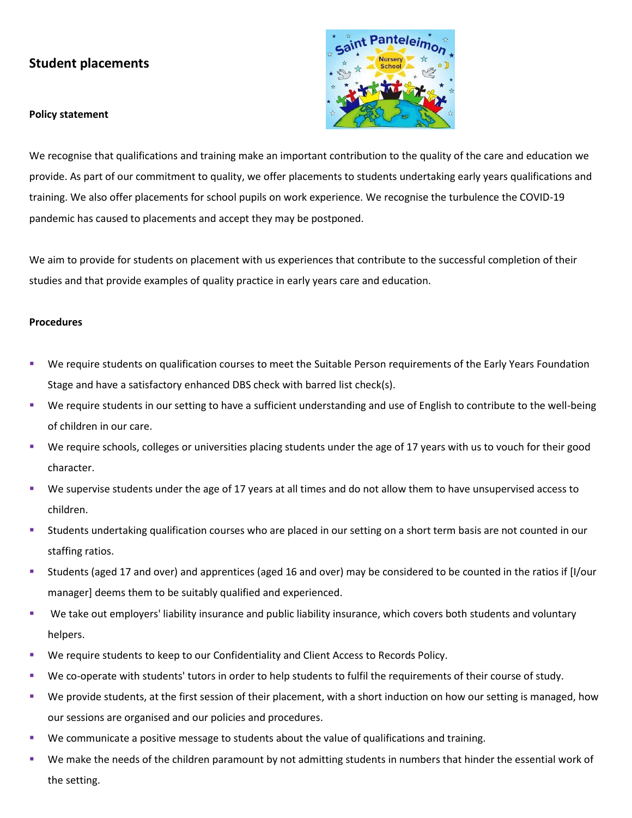## **Student placements**

## **Policy statement**



We recognise that qualifications and training make an important contribution to the quality of the care and education we provide. As part of our commitment to quality, we offer placements to students undertaking early years qualifications and training. We also offer placements for school pupils on work experience. We recognise the turbulence the COVID-19 pandemic has caused to placements and accept they may be postponed.

We aim to provide for students on placement with us experiences that contribute to the successful completion of their studies and that provide examples of quality practice in early years care and education.

## **Procedures**

- We require students on qualification courses to meet the Suitable Person requirements of the Early Years Foundation Stage and have a satisfactory enhanced DBS check with barred list check(s).
- We require students in our setting to have a sufficient understanding and use of English to contribute to the well-being of children in our care.
- We require schools, colleges or universities placing students under the age of 17 years with us to vouch for their good character.
- We supervise students under the age of 17 years at all times and do not allow them to have unsupervised access to children.
- **EXTENDER IN A STAR ISLE 2018 THE STAR ISLES IS STARK ISLES IN STARK ISLES IN A SHOLE STARK** ISLOUTED in our staffing ratios.
- Students (aged 17 and over) and apprentices (aged 16 and over) may be considered to be counted in the ratios if [I/our manager] deems them to be suitably qualified and experienced.
- We take out employers' liability insurance and public liability insurance, which covers both students and voluntary helpers.
- **EXECT** We require students to keep to our Confidentiality and Client Access to Records Policy.
- We co-operate with students' tutors in order to help students to fulfil the requirements of their course of study.
- We provide students, at the first session of their placement, with a short induction on how our setting is managed, how our sessions are organised and our policies and procedures.
- We communicate a positive message to students about the value of qualifications and training.
- We make the needs of the children paramount by not admitting students in numbers that hinder the essential work of the setting.